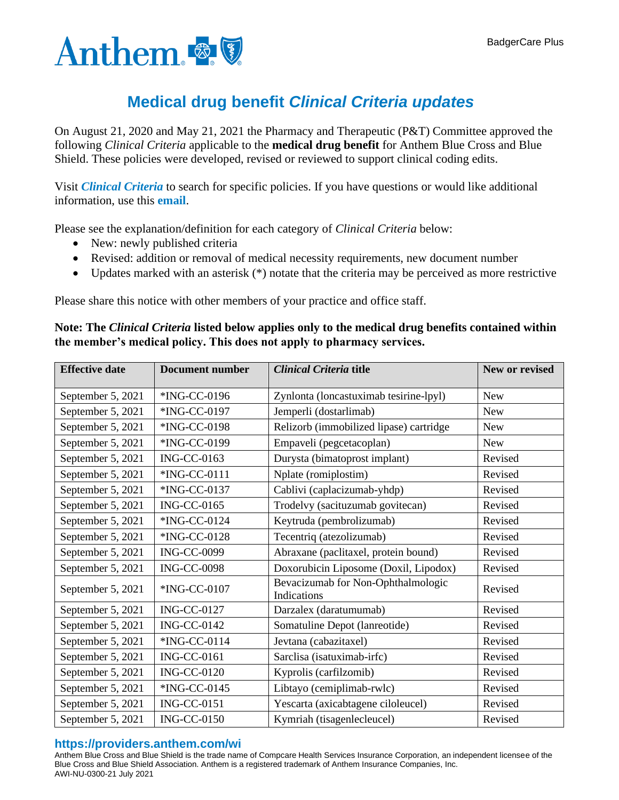

## **Medical drug benefit** *Clinical Criteria updates*

On August 21, 2020 and May 21, 2021 the Pharmacy and Therapeutic (P&T) Committee approved the following *Clinical Criteria* applicable to the **medical drug benefit** for Anthem Blue Cross and Blue Shield. These policies were developed, revised or reviewed to support clinical coding edits.

Visit *[Clinical Criteria](http://www.anthem.com/pharmacyinformation/clinicalcriteria)* to search for specific policies. If you have questions or would like additional information, use this **[email](mailto:druglist@ingenio-rx.com)**.

Please see the explanation/definition for each category of *Clinical Criteria* below:

- New: newly published criteria
- Revised: addition or removal of medical necessity requirements, new document number
- Updates marked with an asterisk (\*) notate that the criteria may be perceived as more restrictive

Please share this notice with other members of your practice and office staff.

## **Note: The** *Clinical Criteria* **listed below applies only to the medical drug benefits contained within the member's medical policy. This does not apply to pharmacy services.**

| <b>Effective date</b> | <b>Document number</b> | <b>Clinical Criteria title</b>                    | New or revised |
|-----------------------|------------------------|---------------------------------------------------|----------------|
| September 5, 2021     | *ING-CC-0196           | Zynlonta (loncastuximab tesirine-lpyl)            | <b>New</b>     |
| September 5, 2021     | *ING-CC-0197           | Jemperli (dostarlimab)                            | <b>New</b>     |
| September 5, 2021     | *ING-CC-0198           | Relizorb (immobilized lipase) cartridge           | <b>New</b>     |
| September 5, 2021     | *ING-CC-0199           | Empaveli (pegcetacoplan)                          | <b>New</b>     |
| September 5, 2021     | <b>ING-CC-0163</b>     | Durysta (bimatoprost implant)                     | Revised        |
| September 5, 2021     | *ING-CC-0111           | Nplate (romiplostim)                              | Revised        |
| September 5, 2021     | *ING-CC-0137           | Cablivi (caplacizumab-yhdp)                       | Revised        |
| September 5, 2021     | <b>ING-CC-0165</b>     | Trodelvy (sacituzumab govitecan)                  | Revised        |
| September 5, 2021     | *ING-CC-0124           | Keytruda (pembrolizumab)                          | Revised        |
| September 5, 2021     | *ING-CC-0128           | Tecentriq (atezolizumab)                          | Revised        |
| September 5, 2021     | <b>ING-CC-0099</b>     | Abraxane (paclitaxel, protein bound)              | Revised        |
| September 5, 2021     | <b>ING-CC-0098</b>     | Doxorubicin Liposome (Doxil, Lipodox)             | Revised        |
| September 5, 2021     | *ING-CC-0107           | Bevacizumab for Non-Ophthalmologic<br>Indications | Revised        |
| September 5, 2021     | <b>ING-CC-0127</b>     | Darzalex (daratumumab)                            | Revised        |
| September 5, 2021     | <b>ING-CC-0142</b>     | Somatuline Depot (lanreotide)                     | Revised        |
| September 5, 2021     | *ING-CC-0114           | Jevtana (cabazitaxel)                             | Revised        |
| September 5, 2021     | <b>ING-CC-0161</b>     | Sarclisa (isatuximab-irfc)                        | Revised        |
| September 5, 2021     | <b>ING-CC-0120</b>     | Kyprolis (carfilzomib)                            | Revised        |
| September 5, 2021     | *ING-CC-0145           | Libtayo (cemiplimab-rwlc)                         | Revised        |
| September 5, 2021     | <b>ING-CC-0151</b>     | Yescarta (axicabtagene ciloleucel)                | Revised        |
| September 5, 2021     | <b>ING-CC-0150</b>     | Kymriah (tisagenlecleucel)                        | Revised        |

## **https://providers.anthem.com/wi**

Anthem Blue Cross and Blue Shield is the trade name of Compcare Health Services Insurance Corporation, an independent licensee of the Blue Cross and Blue Shield Association. Anthem is a registered trademark of Anthem Insurance Companies, Inc. AWI-NU-0300-21 July 2021